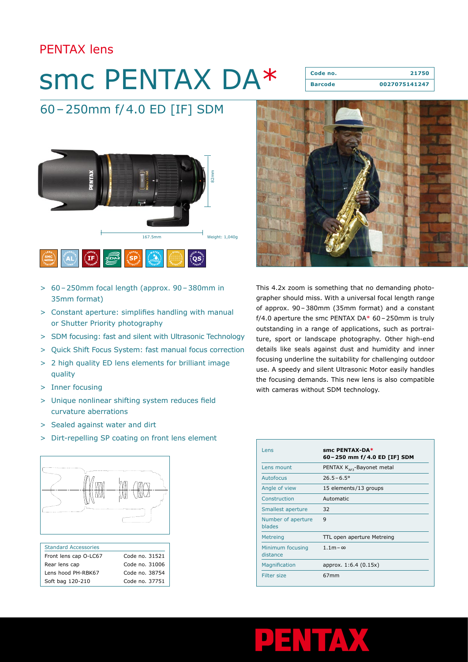# PENTAX lens

# smc PENTAX DA\*

**Code no. 21750 Barcode 0027075141247**

# 60–250mm f/4.0 ED [IF] SDM



- > 60–250mm focal length (approx. 90–380mm in 35mm format)
- > Constant aperture: simplifies handling with manual or Shutter Priority photography
- > SDM focusing: fast and silent with Ultrasonic Technology
- > Quick Shift Focus System: fast manual focus correction
- > 2 high quality ED lens elements for brilliant image quality
- > Inner focusing
- > Unique nonlinear shifting system reduces field curvature aberrations
- > Sealed against water and dirt
- > Dirt-repelling SP coating on front lens element



| <b>Standard Accessories</b> |                |
|-----------------------------|----------------|
| Front lens cap O-LC67       | Code no. 31521 |
| Rear lens cap               | Code no. 31006 |
| Lens hood PH-RBK67          | Code no. 38754 |
| Soft bag 120-210            | Code no. 37751 |



This 4.2x zoom is something that no demanding photographer should miss. With a universal focal length range of approx. 90–380mm (35mm format) and a constant f/4.0 aperture the smc PENTAX DA $*$  60 - 250mm is truly outstanding in a range of applications, such as portraiture, sport or landscape photography. Other high-end details like seals against dust and humidity and inner focusing underline the suitability for challenging outdoor use. A speedy and silent Ultrasonic Motor easily handles the focusing demands. This new lens is also compatible with cameras without SDM technology.

| Lens                         | smc PENTAX-DA*<br>60 – 250 mm f/ 4.0 ED [IF] SDM |
|------------------------------|--------------------------------------------------|
| Lens mount                   | PENTAX $K_{\text{area}}$ -Bayonet metal          |
| Autofocus                    | $26.5 - 6.5^{\circ}$                             |
| Angle of view                | 15 elements/13 groups                            |
| Construction                 | Automatic                                        |
| Smallest aperture            | 32                                               |
| Number of aperture<br>blades | 9                                                |
| <b>Metreing</b>              | TTL open aperture Metreing                       |
| Minimum focusing<br>distance | $1.1m - \infty$                                  |
| <b>Magnification</b>         | approx. 1:6.4 (0.15x)                            |
| <b>Filter size</b>           | 67 <sub>mm</sub>                                 |